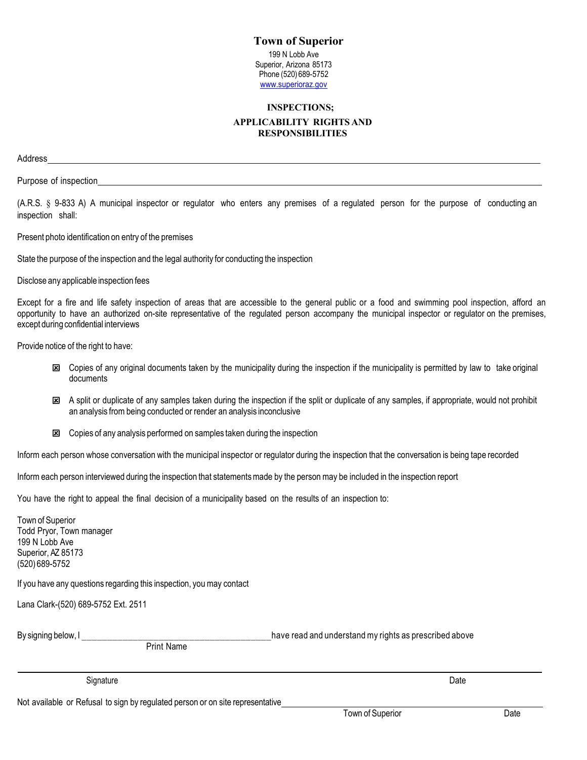## **Town of Superior**  199 N Lobb Ave Superior, Arizona 85173 Phone (520) 689-5752 www.superioraz.gov

## **INSPECTIONS; APPLICABILITY RIGHTS AND RESPONSIBILITIES**

Address

Purpose of inspection\_

(A.R.S. § 9-833 A) A municipal inspector or regulator who enters any premises of a regulated person for the purpose of conducting an inspection shall:

Present photo identification on entry of the premises

State the purpose of the inspection and the legal authority for conducting the inspection

Disclose any applicable inspection fees

Except for a fire and life safety inspection of areas that are accessible to the general public or a food and swimming pool inspection, afford an opportunity to have an authorized on-site representative of the regulated person accompany the municipal inspector or regulator on the premises, except during confidential interviews

Provide notice of the right to have:

- Copies of any original documents taken by the municipality during the inspection if the municipality is permitted by law to take original documents
- **E** A split or duplicate of any samples taken during the inspection if the split or duplicate of any samples, if appropriate, would not prohibit an analysis from being conducted or render an analysis inconclusive
- $\boxtimes$  Copies of any analysis performed on samples taken during the inspection

Inform each person whose conversation with the municipal inspector or regulator during the inspection that the conversation is being tape recorded

Inform each person interviewed during the inspection that statements made by the person may be included in the inspection report

You have the right to appeal the final decision of a municipality based on the results of an inspection to:

| Town of Superior                                                     |                                                        |
|----------------------------------------------------------------------|--------------------------------------------------------|
| Todd Pryor, Town manager                                             |                                                        |
| 199 N Lobb Ave                                                       |                                                        |
| Superior, AZ 85173                                                   |                                                        |
| (520) 689-5752                                                       |                                                        |
|                                                                      |                                                        |
| If you have any questions regarding this inspection, you may contact |                                                        |
| Lana Clark-(520) 689-5752 Ext. 2511                                  |                                                        |
| By signing below, I                                                  | have read and understand my rights as prescribed above |
| <b>Print Name</b>                                                    |                                                        |
|                                                                      |                                                        |
|                                                                      |                                                        |
| Signature                                                            | Date                                                   |
|                                                                      |                                                        |

Not available or Refusal to sign by regulated person or on site representative